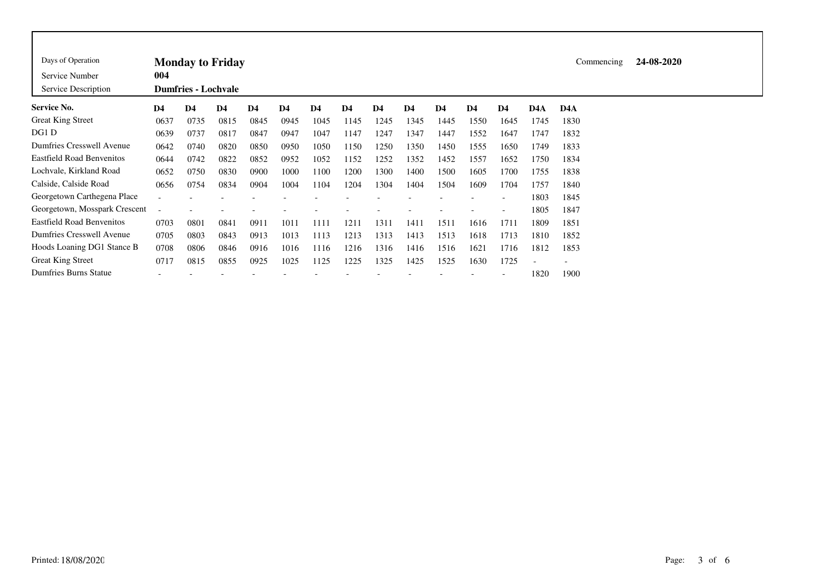| Days of Operation<br>Service Number<br>Service Description | 004                      | <b>Monday to Friday</b><br><b>Dumfries - Lochvale</b> |      |      | Commencing     | 24-08-2020     |      |                |                |                |      |      |                          |      |  |
|------------------------------------------------------------|--------------------------|-------------------------------------------------------|------|------|----------------|----------------|------|----------------|----------------|----------------|------|------|--------------------------|------|--|
| Service No.                                                | D <sub>4</sub>           | D <sub>4</sub>                                        | D4   | D4   | D <sub>4</sub> | D <sub>4</sub> | D4   | D <sub>4</sub> | D <sub>4</sub> | D <sub>4</sub> | D4   | D4   | D <sub>4</sub> A         | D4A  |  |
| <b>Great King Street</b>                                   | 0637                     | 0735                                                  | 0815 | 0845 | 0945           | 1045           | 1145 | 1245           | 1345           | 1445           | 1550 | 1645 | 1745                     | 1830 |  |
| DG1 D                                                      | 0639                     | 0737                                                  | 0817 | 0847 | 0947           | 1047           | 1147 | 1247           | 1347           | 1447           | 1552 | 1647 | 1747                     | 1832 |  |
| Dumfries Cresswell Avenue                                  | 0642                     | 0740                                                  | 0820 | 0850 | 0950           | 1050           | 1150 | 1250           | 1350           | 1450           | 1555 | 1650 | 1749                     | 1833 |  |
| <b>Eastfield Road Benvenitos</b>                           | 0644                     | 0742                                                  | 0822 | 0852 | 0952           | 1052           | 1152 | 1252           | 1352           | 1452           | 1557 | 1652 | 1750                     | 1834 |  |
| Lochvale, Kirkland Road                                    | 0652                     | 0750                                                  | 0830 | 0900 | 1000           | 1100           | 1200 | 1300           | 1400           | 1500           | 1605 | 1700 | 1755                     | 1838 |  |
| Calside, Calside Road                                      | 0656                     | 0754                                                  | 0834 | 0904 | 1004           | 1104           | 1204 | 1304           | 1404           | 1504           | 1609 | 1704 | 1757                     | 1840 |  |
| Georgetown Carthegena Place                                |                          |                                                       |      |      |                |                |      |                |                |                |      |      | 1803                     | 1845 |  |
| Georgetown, Mosspark Crescent                              |                          |                                                       |      |      |                |                |      |                |                |                |      |      | 1805                     | 1847 |  |
| <b>Eastfield Road Benvenitos</b>                           | 0703                     | 0801                                                  | 0841 | 0911 | 1011           | 1111           | 1211 | 1311           | 1411           | 1511           | 1616 | 1711 | 1809                     | 1851 |  |
| Dumfries Cresswell Avenue                                  | 0705                     | 0803                                                  | 0843 | 0913 | 1013           | 1113           | 1213 | 1313           | 1413           | 1513           | 1618 | 1713 | 1810                     | 1852 |  |
| Hoods Loaning DG1 Stance B                                 | 0708                     | 0806                                                  | 0846 | 0916 | 1016           | 1116           | 1216 | 1316           | 1416           | 1516           | 1621 | 1716 | 1812                     | 1853 |  |
| <b>Great King Street</b>                                   | 0717                     | 0815                                                  | 0855 | 0925 | 1025           | 1125           | 1225 | 1325           | 1425           | 1525           | 1630 | 1725 | $\overline{\phantom{0}}$ |      |  |
| <b>Dumfries Burns Statue</b>                               | $\overline{\phantom{0}}$ |                                                       |      |      |                |                |      |                |                |                |      |      | 1820                     | 1900 |  |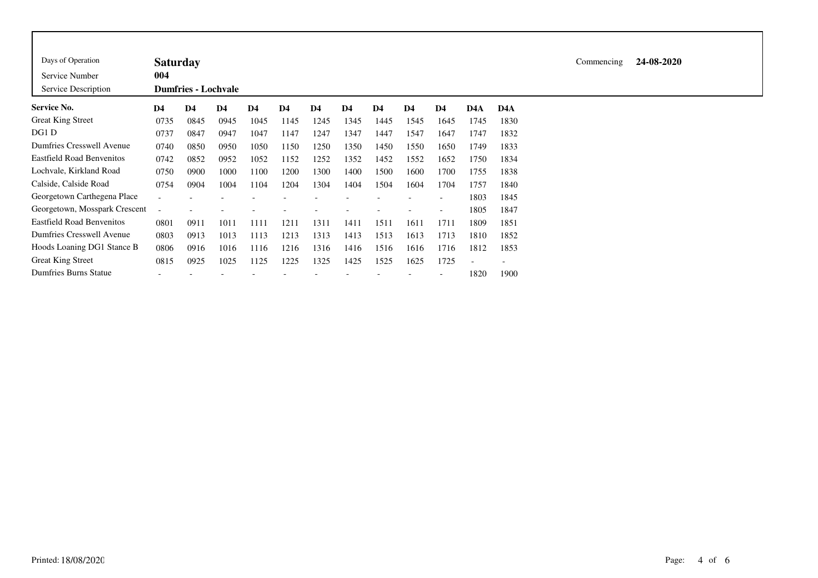| Days of Operation                     | <b>Saturday</b> |                            |                |               |                |      |                |                |                |                          |      |                          |
|---------------------------------------|-----------------|----------------------------|----------------|---------------|----------------|------|----------------|----------------|----------------|--------------------------|------|--------------------------|
| Service Number<br>Service Description | 004             | <b>Dumfries - Lochvale</b> |                |               |                |      |                |                |                |                          |      |                          |
| <b>Service No.</b>                    | D <sub>4</sub>  | D <sub>4</sub>             | D <sub>4</sub> | $\mathbf{D4}$ | D <sub>4</sub> | D4   | D <sub>4</sub> | D <sub>4</sub> | D <sub>4</sub> | D <sub>4</sub>           | D4A  | D <sub>4</sub> A         |
| <b>Great King Street</b>              | 0735            | 0845                       | 0945           | 1045          | 1145           | 1245 | 1345           | 1445           | 1545           | 1645                     | 1745 | 1830                     |
| DG1 D                                 | 0737            | 0847                       | 0947           | 1047          | 1147           | 1247 | 1347           | 1447           | 1547           | 1647                     | 1747 | 1832                     |
| Dumfries Cresswell Avenue             | 0740            | 0850                       | 0950           | 1050          | 1150           | 1250 | 1350           | 1450           | 1550           | 1650                     | 1749 | 1833                     |
| <b>Eastfield Road Benvenitos</b>      | 0742            | 0852                       | 0952           | 1052          | 1152           | 1252 | 1352           | 1452           | 1552           | 1652                     | 1750 | 1834                     |
| Lochvale, Kirkland Road               | 0750            | 0900                       | 1000           | 1100          | 1200           | 1300 | 1400           | 1500           | 1600           | 1700                     | 1755 | 1838                     |
| Calside, Calside Road                 | 0754            | 0904                       | 1004           | 1104          | 1204           | 1304 | 1404           | 1504           | 1604           | 1704                     | 1757 | 1840                     |
| Georgetown Carthegena Place           |                 |                            |                |               |                |      |                |                |                | $\overline{\phantom{a}}$ | 1803 | 1845                     |
| Georgetown, Mosspark Crescent         |                 |                            |                |               |                |      |                |                |                | $\overline{\phantom{a}}$ | 1805 | 1847                     |
| <b>Eastfield Road Benvenitos</b>      | 0801            | 0911                       | 1011           | 1111          | 1211           | 1311 | 1411           | 1511           | 1611           | 1711                     | 1809 | 1851                     |
| Dumfries Cresswell Avenue             | 0803            | 0913                       | 1013           | 1113          | 1213           | 1313 | 1413           | 1513           | 1613           | 1713                     | 1810 | 1852                     |
| Hoods Loaning DG1 Stance B            | 0806            | 0916                       | 1016           | 1116          | 1216           | 1316 | 1416           | 1516           | 1616           | 1716                     | 1812 | 1853                     |
| <b>Great King Street</b>              | 0815            | 0925                       | 1025           | 1125          | 1225           | 1325 | 1425           | 1525           | 1625           | 1725                     |      | $\overline{\phantom{a}}$ |
| Dumfries Burns Statue                 |                 |                            |                |               |                |      |                |                |                |                          | 1820 | 1900                     |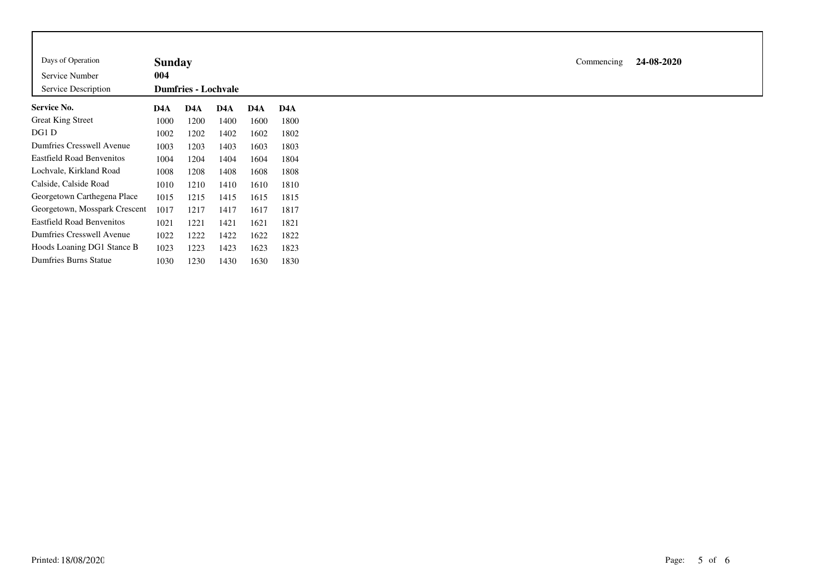| Days of Operation                | <b>Sunday</b> |                            |      |      |                  |
|----------------------------------|---------------|----------------------------|------|------|------------------|
| Service Number                   | 004           |                            |      |      |                  |
| Service Description              |               | <b>Dumfries - Lochvale</b> |      |      |                  |
| Service No.                      | D4A           | D4A                        | D4A  | D4A  | D <sub>4</sub> A |
| <b>Great King Street</b>         | 1000          | 1200                       | 1400 | 1600 | 1800             |
| DG1 D                            | 1002          | 1202                       | 1402 | 1602 | 1802             |
| Dumfries Cresswell Avenue        | 1003          | 1203                       | 1403 | 1603 | 1803             |
| <b>Eastfield Road Benvenitos</b> | 1004          | 1204                       | 1404 | 1604 | 1804             |
| Lochvale, Kirkland Road          | 1008          | 1208                       | 1408 | 1608 | 1808             |
| Calside, Calside Road            | 1010          | 1210                       | 1410 | 1610 | 1810             |
| Georgetown Carthegena Place      | 1015          | 1215                       | 1415 | 1615 | 1815             |
| Georgetown, Mosspark Crescent    | 1017          | 1217                       | 1417 | 1617 | 1817             |
| <b>Eastfield Road Benvenitos</b> | 1021          | 1221                       | 1421 | 1621 | 1821             |
| Dumfries Cresswell Avenue        | 1022          | 1222                       | 1422 | 1622 | 1822             |
| Hoods Loaning DG1 Stance B       | 1023          | 1223                       | 1423 | 1623 | 1823             |
| <b>Dumfries Burns Statue</b>     | 1030          | 1230                       | 1430 | 1630 | 1830             |